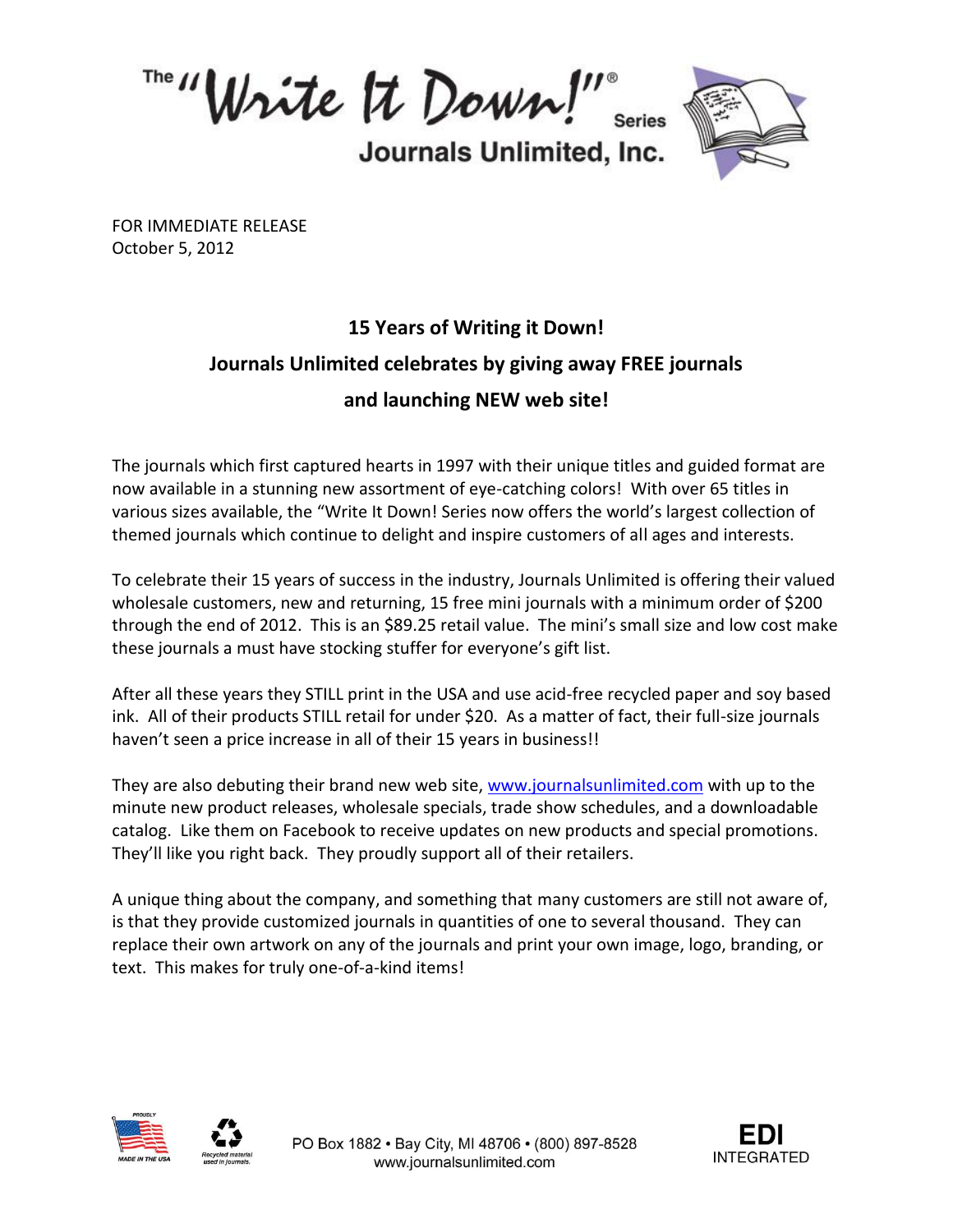Write It Down!" Series

Journals Unlimited, Inc.



FOR IMMEDIATE RELEASE October 5, 2012

## **15 Years of Writing it Down! Journals Unlimited celebrates by giving away FREE journals and launching NEW web site!**

The journals which first captured hearts in 1997 with their unique titles and guided format are now available in a stunning new assortment of eye-catching colors! With over 65 titles in various sizes available, the "Write It Down! Series now offers the world's largest collection of themed journals which continue to delight and inspire customers of all ages and interests.

To celebrate their 15 years of success in the industry, Journals Unlimited is offering their valued wholesale customers, new and returning, 15 free mini journals with a minimum order of \$200 through the end of 2012. This is an \$89.25 retail value. The mini's small size and low cost make these journals a must have stocking stuffer for everyone's gift list.

After all these years they STILL print in the USA and use acid-free recycled paper and soy based ink. All of their products STILL retail for under \$20. As a matter of fact, their full-size journals haven't seen a price increase in all of their 15 years in business!!

They are also debuting their brand new web site, [www.journalsunlimited.com](http://www.journalsunlimited.com/) with up to the minute new product releases, wholesale specials, trade show schedules, and a downloadable catalog. Like them on Facebook to receive updates on new products and special promotions. They'll like you right back. They proudly support all of their retailers.

A unique thing about the company, and something that many customers are still not aware of, is that they provide customized journals in quantities of one to several thousand. They can replace their own artwork on any of the journals and print your own image, logo, branding, or text. This makes for truly one-of-a-kind items!





PO Box 1882 · Bay City, MI 48706 · (800) 897-8528 www.journalsunlimited.com